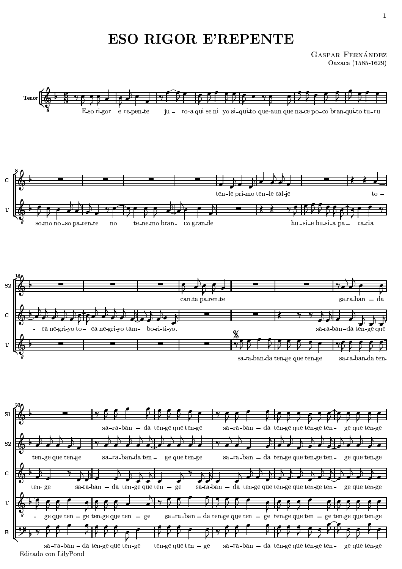## -

GASPAR FERNÁNDEZ  $Oaxaca(1585-1629)$ 

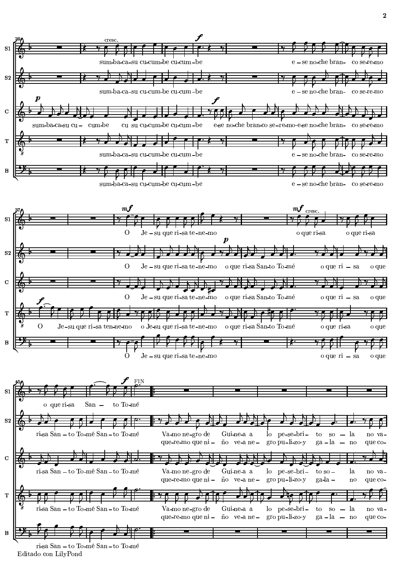

N  $\mathbf{h}$  is the  $\mathbf{h}$  in  $\mathbf{h}$